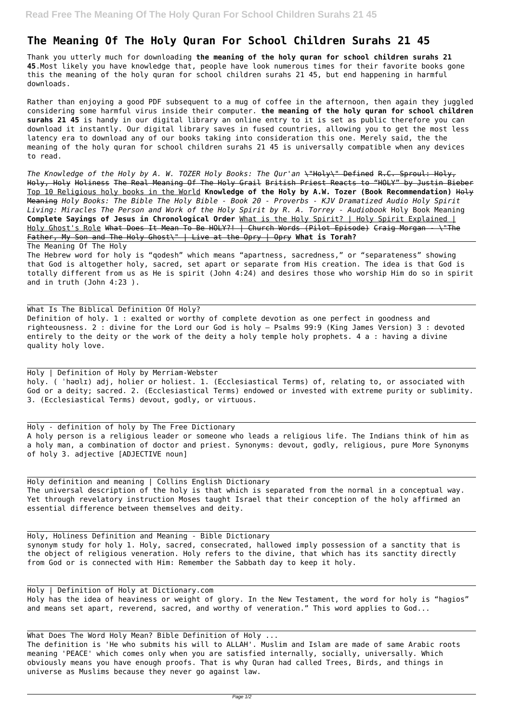## **The Meaning Of The Holy Quran For School Children Surahs 21 45**

Thank you utterly much for downloading **the meaning of the holy quran for school children surahs 21 45**.Most likely you have knowledge that, people have look numerous times for their favorite books gone this the meaning of the holy quran for school children surahs 21 45, but end happening in harmful downloads.

Rather than enjoying a good PDF subsequent to a mug of coffee in the afternoon, then again they juggled considering some harmful virus inside their computer. **the meaning of the holy quran for school children surahs 21 45** is handy in our digital library an online entry to it is set as public therefore you can download it instantly. Our digital library saves in fused countries, allowing you to get the most less latency era to download any of our books taking into consideration this one. Merely said, the the meaning of the holy quran for school children surahs 21 45 is universally compatible when any devices to read.

*The Knowledge of the Holy by A. W. TOZER Holy Books: The Qur'an* \"Holy\" Defined R.C. Sproul: Holy, Holy, Holy Holiness The Real Meaning Of The Holy Grail British Priest Reacts to "HOLY" by Justin Bieber Top 10 Religious holy books in the World **Knowledge of the Holy by A.W. Tozer (Book Recommendation)** Holy Meaning *Holy Books: The Bible The Holy Bible - Book 20 - Proverbs - KJV Dramatized Audio Holy Spirit Living: Miracles The Person and Work of the Holy Spirit by R. A. Torrey - Audiobook* Holy Book Meaning **Complete Sayings of Jesus in Chronological Order** What is the Holy Spirit? | Holy Spirit Explained | Holy Ghost's Role What Does It Mean To Be HOLY?! | Church Words (Pilot Episode) Craig Morgan - \"The Father, My Son and The Holy Ghost\" | Live at the Opry | Opry **What is Torah?**

The Meaning Of The Holy

The Hebrew word for holy is "qodesh" which means "apartness, sacredness," or "separateness" showing that God is altogether holy, sacred, set apart or separate from His creation. The idea is that God is totally different from us as He is spirit (John 4:24) and desires those who worship Him do so in spirit and in truth (John 4:23 ).

What Is The Biblical Definition Of Holy? Definition of holy. 1 : exalted or worthy of complete devotion as one perfect in goodness and righteousness. 2 : divine for the Lord our God is holy — Psalms 99:9 (King James Version) 3 : devoted entirely to the deity or the work of the deity a holy temple holy prophets. 4 a : having a divine quality holy love.

Holy | Definition of Holy by Merriam-Webster holy. ( ˈhəʊlɪ) adj, holier or holiest. 1. (Ecclesiastical Terms) of, relating to, or associated with God or a deity; sacred. 2. (Ecclesiastical Terms) endowed or invested with extreme purity or sublimity. 3. (Ecclesiastical Terms) devout, godly, or virtuous.

Holy - definition of holy by The Free Dictionary A holy person is a religious leader or someone who leads a religious life. The Indians think of him as a holy man, a combination of doctor and priest. Synonyms: devout, godly, religious, pure More Synonyms of holy 3. adjective [ADJECTIVE noun]

Holy definition and meaning | Collins English Dictionary The universal description of the holy is that which is separated from the normal in a conceptual way. Yet through revelatory instruction Moses taught Israel that their conception of the holy affirmed an essential difference between themselves and deity.

Holy, Holiness Definition and Meaning - Bible Dictionary

synonym study for holy 1. Holy, sacred, consecrated, hallowed imply possession of a sanctity that is the object of religious veneration. Holy refers to the divine, that which has its sanctity directly from God or is connected with Him: Remember the Sabbath day to keep it holy.

Holy | Definition of Holy at Dictionary.com Holy has the idea of heaviness or weight of glory. In the New Testament, the word for holy is "hagios" and means set apart, reverend, sacred, and worthy of veneration." This word applies to God...

What Does The Word Holy Mean? Bible Definition of Holy ... The definition is 'He who submits his will to ALLAH'. Muslim and Islam are made of same Arabic roots meaning 'PEACE' which comes only when you are satisfied internally, socially, universally. Which obviously means you have enough proofs. That is why Quran had called Trees, Birds, and things in universe as Muslims because they never go against law.